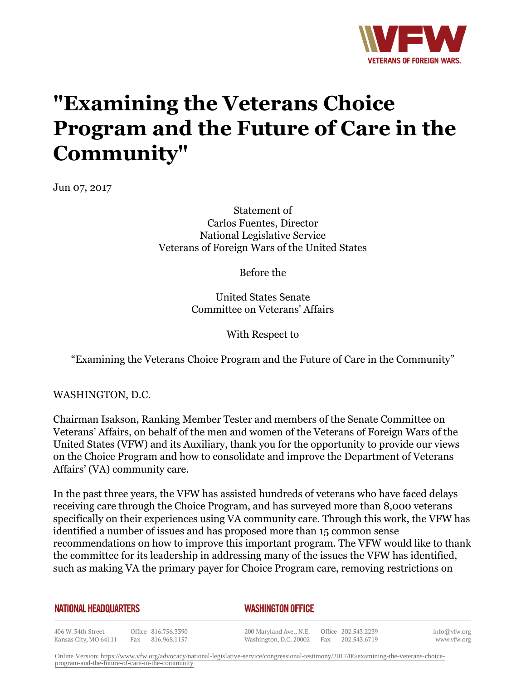

## **"Examining the Veterans Choice Program and the Future of Care in the Community"**

Jun 07, 2017

Statement of Carlos Fuentes, Director National Legislative Service Veterans of Foreign Wars of the United States

Before the

United States Senate Committee on Veterans' Affairs

With Respect to

"Examining the Veterans Choice Program and the Future of Care in the Community"

WASHINGTON, D.C.

Chairman Isakson, Ranking Member Tester and members of the Senate Committee on Veterans' Affairs, on behalf of the men and women of the Veterans of Foreign Wars of the United States (VFW) and its Auxiliary, thank you for the opportunity to provide our views on the Choice Program and how to consolidate and improve the Department of Veterans Affairs' (VA) community care.

In the past three years, the VFW has assisted hundreds of veterans who have faced delays receiving care through the Choice Program, and has surveyed more than 8,000 veterans specifically on their experiences using VA community care. Through this work, the VFW has identified a number of issues and has proposed more than 15 common sense recommendations on how to improve this important program. The VFW would like to thank the committee for its leadership in addressing many of the issues the VFW has identified, such as making VA the primary payer for Choice Program care, removing restrictions on

## **NATIONAL HEADQUARTERS**

## *WASHINGTON OFFICE*

406 W. 34th Street Office 816.756.3390 Kansas City, MO 64111 Fax 816.968.1157

200 Maryland Ave., N.E. Washington, D.C. 20002

Office 202.543.2239 Fax 202.543.6719 info@vfw.org www.vfw.org

Online Version: [https://www.vfw.org/advocacy/national-legislative-service/congressional-testimony/2017/06/examining-the-veterans-choice](https://www.vfw.org/advocacy/national-legislative-service/congressional-testimony/2017/06/examining-the-veterans-choice-program-and-the-future-of-care-in-the-community)[program-and-the-future-of-care-in-the-community](https://www.vfw.org/advocacy/national-legislative-service/congressional-testimony/2017/06/examining-the-veterans-choice-program-and-the-future-of-care-in-the-community)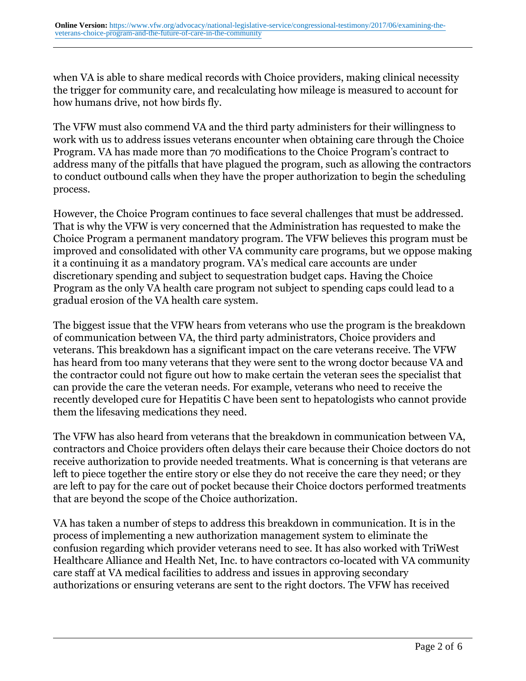when VA is able to share medical records with Choice providers, making clinical necessity the trigger for community care, and recalculating how mileage is measured to account for how humans drive, not how birds fly.

The VFW must also commend VA and the third party administers for their willingness to work with us to address issues veterans encounter when obtaining care through the Choice Program. VA has made more than 70 modifications to the Choice Program's contract to address many of the pitfalls that have plagued the program, such as allowing the contractors to conduct outbound calls when they have the proper authorization to begin the scheduling process.

However, the Choice Program continues to face several challenges that must be addressed. That is why the VFW is very concerned that the Administration has requested to make the Choice Program a permanent mandatory program. The VFW believes this program must be improved and consolidated with other VA community care programs, but we oppose making it a continuing it as a mandatory program. VA's medical care accounts are under discretionary spending and subject to sequestration budget caps. Having the Choice Program as the only VA health care program not subject to spending caps could lead to a gradual erosion of the VA health care system.

The biggest issue that the VFW hears from veterans who use the program is the breakdown of communication between VA, the third party administrators, Choice providers and veterans. This breakdown has a significant impact on the care veterans receive. The VFW has heard from too many veterans that they were sent to the wrong doctor because VA and the contractor could not figure out how to make certain the veteran sees the specialist that can provide the care the veteran needs. For example, veterans who need to receive the recently developed cure for Hepatitis C have been sent to hepatologists who cannot provide them the lifesaving medications they need.

The VFW has also heard from veterans that the breakdown in communication between VA, contractors and Choice providers often delays their care because their Choice doctors do not receive authorization to provide needed treatments. What is concerning is that veterans are left to piece together the entire story or else they do not receive the care they need; or they are left to pay for the care out of pocket because their Choice doctors performed treatments that are beyond the scope of the Choice authorization.

VA has taken a number of steps to address this breakdown in communication. It is in the process of implementing a new authorization management system to eliminate the confusion regarding which provider veterans need to see. It has also worked with TriWest Healthcare Alliance and Health Net, Inc. to have contractors co-located with VA community care staff at VA medical facilities to address and issues in approving secondary authorizations or ensuring veterans are sent to the right doctors. The VFW has received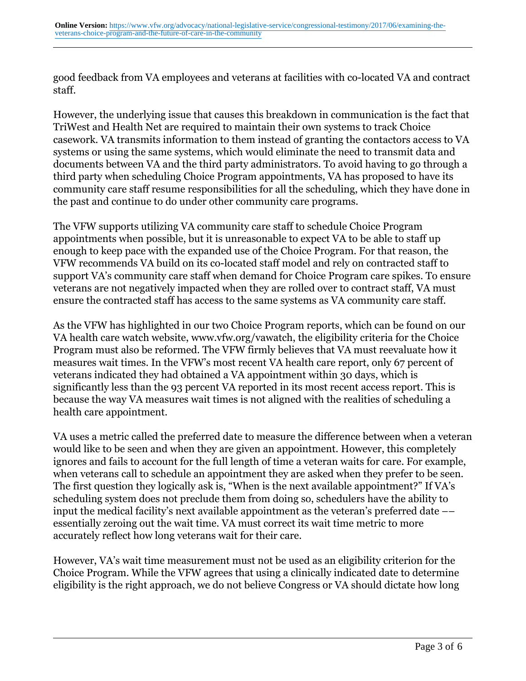good feedback from VA employees and veterans at facilities with co-located VA and contract staff.

However, the underlying issue that causes this breakdown in communication is the fact that TriWest and Health Net are required to maintain their own systems to track Choice casework. VA transmits information to them instead of granting the contactors access to VA systems or using the same systems, which would eliminate the need to transmit data and documents between VA and the third party administrators. To avoid having to go through a third party when scheduling Choice Program appointments, VA has proposed to have its community care staff resume responsibilities for all the scheduling, which they have done in the past and continue to do under other community care programs.

The VFW supports utilizing VA community care staff to schedule Choice Program appointments when possible, but it is unreasonable to expect VA to be able to staff up enough to keep pace with the expanded use of the Choice Program. For that reason, the VFW recommends VA build on its co-located staff model and rely on contracted staff to support VA's community care staff when demand for Choice Program care spikes. To ensure veterans are not negatively impacted when they are rolled over to contract staff, VA must ensure the contracted staff has access to the same systems as VA community care staff.

As the VFW has highlighted in our two Choice Program reports, which can be found on our VA health care watch website, www.vfw.org/vawatch, the eligibility criteria for the Choice Program must also be reformed. The VFW firmly believes that VA must reevaluate how it measures wait times. In the VFW's most recent VA health care report, only 67 percent of veterans indicated they had obtained a VA appointment within 30 days, which is significantly less than the 93 percent VA reported in its most recent access report. This is because the way VA measures wait times is not aligned with the realities of scheduling a health care appointment.

VA uses a metric called the preferred date to measure the difference between when a veteran would like to be seen and when they are given an appointment. However, this completely ignores and fails to account for the full length of time a veteran waits for care. For example, when veterans call to schedule an appointment they are asked when they prefer to be seen. The first question they logically ask is, "When is the next available appointment?" If VA's scheduling system does not preclude them from doing so, schedulers have the ability to input the medical facility's next available appointment as the veteran's preferred date –– essentially zeroing out the wait time. VA must correct its wait time metric to more accurately reflect how long veterans wait for their care.

However, VA's wait time measurement must not be used as an eligibility criterion for the Choice Program. While the VFW agrees that using a clinically indicated date to determine eligibility is the right approach, we do not believe Congress or VA should dictate how long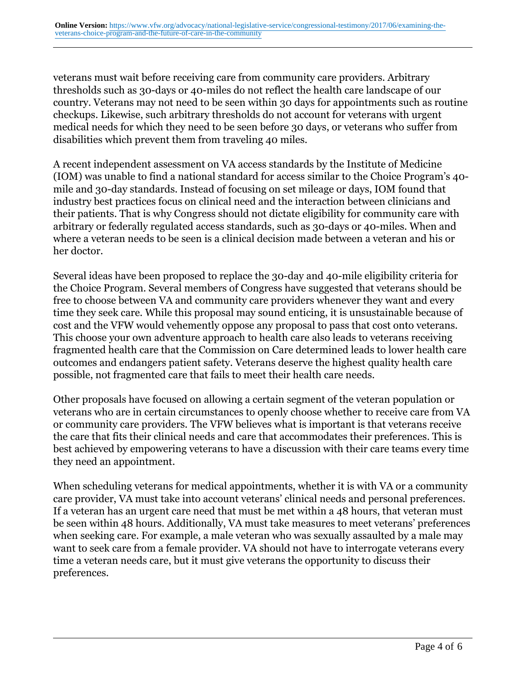veterans must wait before receiving care from community care providers. Arbitrary thresholds such as 30-days or 40-miles do not reflect the health care landscape of our country. Veterans may not need to be seen within 30 days for appointments such as routine checkups. Likewise, such arbitrary thresholds do not account for veterans with urgent medical needs for which they need to be seen before 30 days, or veterans who suffer from disabilities which prevent them from traveling 40 miles.

A recent independent assessment on VA access standards by the Institute of Medicine (IOM) was unable to find a national standard for access similar to the Choice Program's 40 mile and 30-day standards. Instead of focusing on set mileage or days, IOM found that industry best practices focus on clinical need and the interaction between clinicians and their patients. That is why Congress should not dictate eligibility for community care with arbitrary or federally regulated access standards, such as 30-days or 40-miles. When and where a veteran needs to be seen is a clinical decision made between a veteran and his or her doctor.

Several ideas have been proposed to replace the 30-day and 40-mile eligibility criteria for the Choice Program. Several members of Congress have suggested that veterans should be free to choose between VA and community care providers whenever they want and every time they seek care. While this proposal may sound enticing, it is unsustainable because of cost and the VFW would vehemently oppose any proposal to pass that cost onto veterans. This choose your own adventure approach to health care also leads to veterans receiving fragmented health care that the Commission on Care determined leads to lower health care outcomes and endangers patient safety. Veterans deserve the highest quality health care possible, not fragmented care that fails to meet their health care needs.

Other proposals have focused on allowing a certain segment of the veteran population or veterans who are in certain circumstances to openly choose whether to receive care from VA or community care providers. The VFW believes what is important is that veterans receive the care that fits their clinical needs and care that accommodates their preferences. This is best achieved by empowering veterans to have a discussion with their care teams every time they need an appointment.

When scheduling veterans for medical appointments, whether it is with VA or a community care provider, VA must take into account veterans' clinical needs and personal preferences. If a veteran has an urgent care need that must be met within a 48 hours, that veteran must be seen within 48 hours. Additionally, VA must take measures to meet veterans' preferences when seeking care. For example, a male veteran who was sexually assaulted by a male may want to seek care from a female provider. VA should not have to interrogate veterans every time a veteran needs care, but it must give veterans the opportunity to discuss their preferences.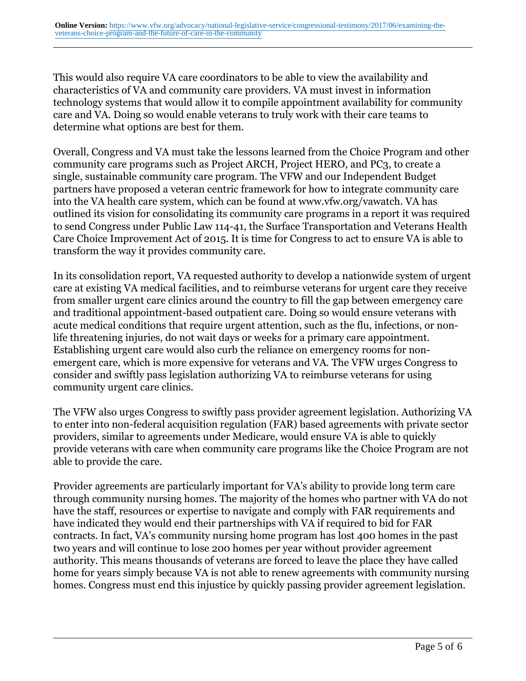This would also require VA care coordinators to be able to view the availability and characteristics of VA and community care providers. VA must invest in information technology systems that would allow it to compile appointment availability for community care and VA. Doing so would enable veterans to truly work with their care teams to determine what options are best for them.

Overall, Congress and VA must take the lessons learned from the Choice Program and other community care programs such as Project ARCH, Project HERO, and PC3, to create a single, sustainable community care program. The VFW and our Independent Budget partners have proposed a veteran centric framework for how to integrate community care into the VA health care system, which can be found at www.vfw.org/vawatch. VA has outlined its vision for consolidating its community care programs in a report it was required to send Congress under Public Law 114-41, the Surface Transportation and Veterans Health Care Choice Improvement Act of 2015. It is time for Congress to act to ensure VA is able to transform the way it provides community care.

In its consolidation report, VA requested authority to develop a nationwide system of urgent care at existing VA medical facilities, and to reimburse veterans for urgent care they receive from smaller urgent care clinics around the country to fill the gap between emergency care and traditional appointment-based outpatient care. Doing so would ensure veterans with acute medical conditions that require urgent attention, such as the flu, infections, or nonlife threatening injuries, do not wait days or weeks for a primary care appointment. Establishing urgent care would also curb the reliance on emergency rooms for nonemergent care, which is more expensive for veterans and VA. The VFW urges Congress to consider and swiftly pass legislation authorizing VA to reimburse veterans for using community urgent care clinics.

The VFW also urges Congress to swiftly pass provider agreement legislation. Authorizing VA to enter into non-federal acquisition regulation (FAR) based agreements with private sector providers, similar to agreements under Medicare, would ensure VA is able to quickly provide veterans with care when community care programs like the Choice Program are not able to provide the care.

Provider agreements are particularly important for VA's ability to provide long term care through community nursing homes. The majority of the homes who partner with VA do not have the staff, resources or expertise to navigate and comply with FAR requirements and have indicated they would end their partnerships with VA if required to bid for FAR contracts. In fact, VA's community nursing home program has lost 400 homes in the past two years and will continue to lose 200 homes per year without provider agreement authority. This means thousands of veterans are forced to leave the place they have called home for years simply because VA is not able to renew agreements with community nursing homes. Congress must end this injustice by quickly passing provider agreement legislation.